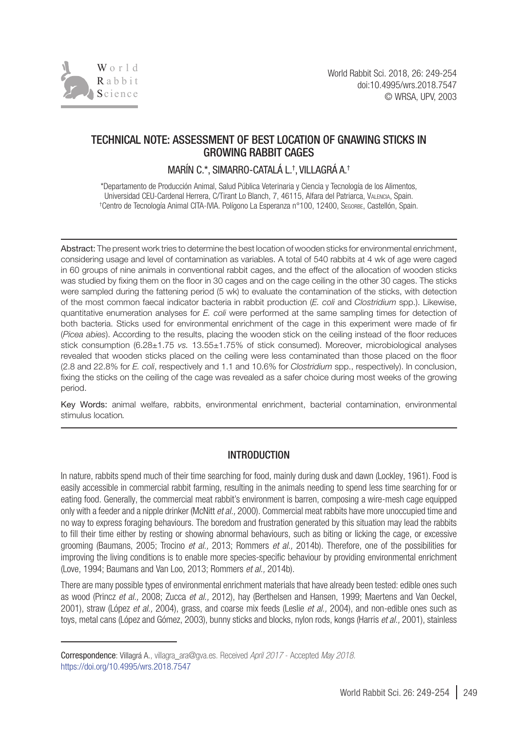

# TECHNICAL NOTE: ASSESSMENT OF BEST LOCATION OF GNAWING STICKS IN GROWING RABBIT CAGES

MARIN C.\*, SIMARRO-CATALA L.†, VILLAGRA A.†

\*Departamento de Producción Animal, Salud Pública Veterinaria y Ciencia y Tecnología de los Alimentos, Universidad CEU-Cardenal Herrera, C/Tirant Lo Blanch, 7, 46115, Alfara del Patriarca, Valencia, Spain. † Centro de Tecnología Animal CITA-IVIA. Polígono La Esperanza n°100, 12400, Segorbe, Castellón, Spain.

Abstract: The present work tries to determine the best location of wooden sticks for environmental enrichment, considering usage and level of contamination as variables. A total of 540 rabbits at 4 wk of age were caged in 60 groups of nine animals in conventional rabbit cages, and the effect of the allocation of wooden sticks was studied by fixing them on the floor in 30 cages and on the cage ceiling in the other 30 cages. The sticks were sampled during the fattening period (5 wk) to evaluate the contamination of the sticks, with detection of the most common faecal indicator bacteria in rabbit production (*E. coli* and *Clostridium* spp.). Likewise, quantitative enumeration analyses for *E. coli* were performed at the same sampling times for detection of both bacteria. Sticks used for environmental enrichment of the cage in this experiment were made of fir (*Picea abies*). According to the results, placing the wooden stick on the ceiling instead of the floor reduces stick consumption (6.28±1.75 *vs.* 13.55±1.75% of stick consumed). Moreover, microbiological analyses revealed that wooden sticks placed on the ceiling were less contaminated than those placed on the floor (2.8 and 22.8% for *E. coli*, respectively and 1.1 and 10.6% for *Clostridium* spp., respectively). In conclusion, fixing the sticks on the ceiling of the cage was revealed as a safer choice during most weeks of the growing period.

Key Words: animal welfare, rabbits, environmental enrichment, bacterial contamination, environmental stimulus location*.*

# INTRODUCTION

In nature, rabbits spend much of their time searching for food, mainly during dusk and dawn (Lockley, 1961). Food is easily accessible in commercial rabbit farming, resulting in the animals needing to spend less time searching for or eating food. Generally, the commercial meat rabbit's environment is barren, composing a wire-mesh cage equipped only with a feeder and a nipple drinker (McNitt *et al.,* 2000). Commercial meat rabbits have more unoccupied time and no way to express foraging behaviours. The boredom and frustration generated by this situation may lead the rabbits to fill their time either by resting or showing abnormal behaviours, such as biting or licking the cage, or excessive grooming (Baumans, 2005; Trocino *et al.,* 2013; Rommers *et al.,* 2014b). Therefore, one of the possibilities for improving the living conditions is to enable more species-specific behaviour by providing environmental enrichment (Love, 1994; Baumans and Van Loo, 2013; Rommers *et al.,* 2014b).

There are many possible types of environmental enrichment materials that have already been tested: edible ones such as wood (Princz *et al.,* 2008; Zucca *et al.,* 2012), hay (Berthelsen and Hansen, 1999; Maertens and Van Oeckel, 2001), straw (López *et al.,* 2004), grass, and coarse mix feeds (Leslie *et al.,* 2004), and non-edible ones such as toys, metal cans (López and Gómez, 2003), bunny sticks and blocks, nylon rods, kongs (Harris *et al.,* 2001), stainless

Correspondence: Villagrá A., villagra\_ara@gva.es. Received *April 2017* - Accepted *May 2018.* https://doi.org/10.4995/wrs.2018.7547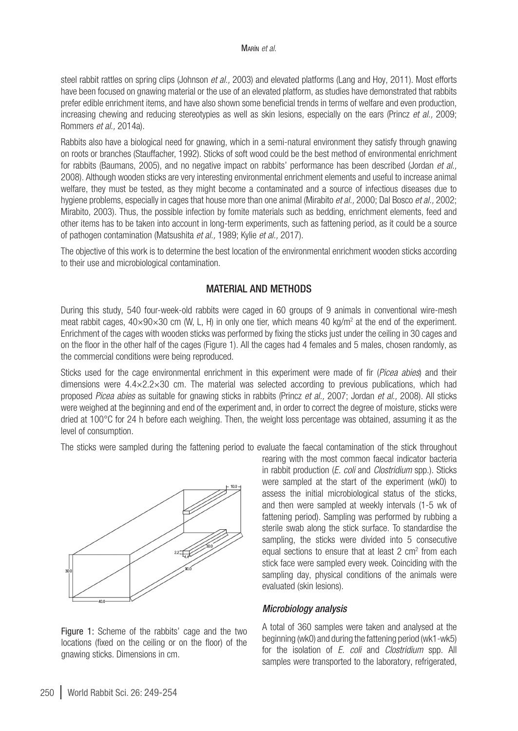steel rabbit rattles on spring clips (Johnson *et al.,* 2003) and elevated platforms (Lang and Hoy, 2011). Most efforts have been focused on gnawing material or the use of an elevated platform, as studies have demonstrated that rabbits prefer edible enrichment items, and have also shown some beneficial trends in terms of welfare and even production, increasing chewing and reducing stereotypies as well as skin lesions, especially on the ears (Princz *et al.,* 2009; Rommers *et al.,* 2014a).

Rabbits also have a biological need for gnawing, which in a semi-natural environment they satisfy through gnawing on roots or branches (Stauffacher, 1992). Sticks of soft wood could be the best method of environmental enrichment for rabbits (Baumans, 2005), and no negative impact on rabbits' performance has been described (Jordan *et al.,* 2008). Although wooden sticks are very interesting environmental enrichment elements and useful to increase animal welfare, they must be tested, as they might become a contaminated and a source of infectious diseases due to hygiene problems, especially in cages that house more than one animal (Mirabito *et al.,* 2000; Dal Bosco *et al.,* 2002; Mirabito, 2003). Thus, the possible infection by fomite materials such as bedding, enrichment elements, feed and other items has to be taken into account in long-term experiments, such as fattening period, as it could be a source of pathogen contamination (Matsushita *et al.,* 1989; Kylie *et al.,* 2017).

The objective of this work is to determine the best location of the environmental enrichment wooden sticks according to their use and microbiological contamination.

## MATERIAL AND METHODS

During this study, 540 four-week-old rabbits were caged in 60 groups of 9 animals in conventional wire-mesh meat rabbit cages, 40×90×30 cm (W, L, H) in only one tier, which means 40 kg/m2 at the end of the experiment. Enrichment of the cages with wooden sticks was performed by fixing the sticks just under the ceiling in 30 cages and on the floor in the other half of the cages (Figure 1). All the cages had 4 females and 5 males, chosen randomly, as the commercial conditions were being reproduced.

Sticks used for the cage environmental enrichment in this experiment were made of fir (*Picea abies*) and their dimensions were 4.4×2.2×30 cm. The material was selected according to previous publications, which had proposed *Picea abies* as suitable for gnawing sticks in rabbits (Princz *et al.,* 2007; Jordan *et al.,* 2008). All sticks were weighed at the beginning and end of the experiment and, in order to correct the degree of moisture, sticks were dried at 100°C for 24 h before each weighing. Then, the weight loss percentage was obtained, assuming it as the level of consumption.

The sticks were sampled during the fattening period to evaluate the faecal contamination of the stick throughout



Figure 1: Scheme of the rabbits' cage and the two locations (fixed on the ceiling or on the floor) of the gnawing sticks. Dimensions in cm.

rearing with the most common faecal indicator bacteria in rabbit production (*E. coli* and *Clostridium* spp.). Sticks were sampled at the start of the experiment (wk0) to assess the initial microbiological status of the sticks, and then were sampled at weekly intervals (1-5 wk of fattening period). Sampling was performed by rubbing a sterile swab along the stick surface. To standardise the sampling, the sticks were divided into 5 consecutive equal sections to ensure that at least  $2 \text{ cm}^2$  from each stick face were sampled every week. Coinciding with the sampling day, physical conditions of the animals were evaluated (skin lesions).

#### *Microbiology analysis*

A total of 360 samples were taken and analysed at the beginning (wk0) and during the fattening period (wk1-wk5) for the isolation of *E. coli* and *Clostridium* spp. All samples were transported to the laboratory, refrigerated,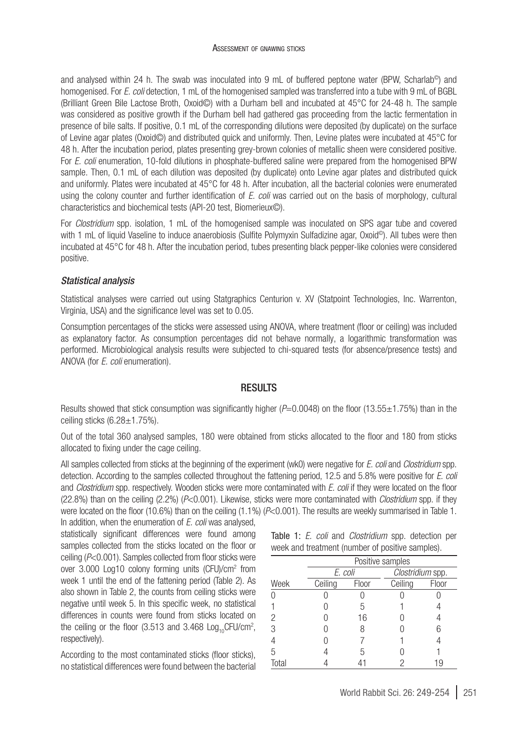and analysed within 24 h. The swab was inoculated into 9 mL of buffered peptone water (BPW, Scharlab<sup>®</sup>) and homogenised. For *E. coli* detection, 1 mL of the homogenised sampled was transferred into a tube with 9 mL of BGBL (Brilliant Green Bile Lactose Broth, Oxoid©) with a Durham bell and incubated at 45°C for 24-48 h. The sample was considered as positive growth if the Durham bell had gathered gas proceeding from the lactic fermentation in presence of bile salts. If positive, 0.1 mL of the corresponding dilutions were deposited (by duplicate) on the surface of Levine agar plates (Oxoid©) and distributed quick and uniformly. Then, Levine plates were incubated at 45°C for 48 h. After the incubation period, plates presenting grey-brown colonies of metallic sheen were considered positive. For *E. coli* enumeration, 10-fold dilutions in phosphate-buffered saline were prepared from the homogenised BPW sample. Then, 0.1 mL of each dilution was deposited (by duplicate) onto Levine agar plates and distributed quick and uniformly. Plates were incubated at 45°C for 48 h. After incubation, all the bacterial colonies were enumerated using the colony counter and further identification of *E. coli* was carried out on the basis of morphology, cultural characteristics and biochemical tests (API-20 test, Biomerieux©).

For *Clostridium* spp. isolation, 1 mL of the homogenised sample was inoculated on SPS agar tube and covered with 1 mL of liquid Vaseline to induce anaerobiosis (Sulfite Polymyxin Sulfadizine agar, Oxoid©). All tubes were then incubated at 45°C for 48 h. After the incubation period, tubes presenting black pepper-like colonies were considered positive.

## *Statistical analysis*

Statistical analyses were carried out using Statgraphics Centurion v. XV (Statpoint Technologies, Inc. Warrenton, Virginia, USA) and the significance level was set to 0.05.

Consumption percentages of the sticks were assessed using ANOVA, where treatment (floor or ceiling) was included as explanatory factor. As consumption percentages did not behave normally, a logarithmic transformation was performed. Microbiological analysis results were subjected to chi-squared tests (for absence/presence tests) and ANOVA (for *E. coli* enumeration).

## **RESULTS**

Results showed that stick consumption was significantly higher ( $P=0.0048$ ) on the floor (13.55±1.75%) than in the ceiling sticks  $(6.28 \pm 1.75\%)$ .

Out of the total 360 analysed samples, 180 were obtained from sticks allocated to the floor and 180 from sticks allocated to fixing under the cage ceiling.

All samples collected from sticks at the beginning of the experiment (wk0) were negative for *E. coli* and *Clostridium* spp. detection. According to the samples collected throughout the fattening period, 12.5 and 5.8% were positive for *E. coli*  and *Clostridium* spp. respectively. Wooden sticks were more contaminated with *E. coli* if they were located on the floor (22.8%) than on the ceiling (2.2%) (*P*<0.001). Likewise, sticks were more contaminated with *Clostridium* spp. if they were located on the floor (10.6%) than on the ceiling (1.1%) (*P*<0.001). The results are weekly summarised in Table 1. In addition, when the enumeration of *E. coli* was analysed,

statistically significant differences were found among samples collected from the sticks located on the floor or ceiling (*P*<0.001). Samples collected from floor sticks were over 3.000 Log10 colony forming units (CFU)/cm2 from week 1 until the end of the fattening period (Table 2). As also shown in Table 2, the counts from ceiling sticks were negative until week 5. In this specific week, no statistical differences in counts were found from sticks located on the ceiling or the floor (3.513 and 3.468  $Log_{10}$ CFU/cm<sup>2</sup>, respectively).

According to the most contaminated sticks (floor sticks), no statistical differences were found between the bacterial

|  |  | Table 1: E. coli and Clostridium spp. detection per |  |  |
|--|--|-----------------------------------------------------|--|--|
|  |  | week and treatment (number of positive samples).    |  |  |

|       | Positive samples |       |                  |       |  |  |
|-------|------------------|-------|------------------|-------|--|--|
|       | E. coli          |       | Clostridium spp. |       |  |  |
| Week  | Ceiling          | Floor | Ceiling          | Floor |  |  |
|       |                  |       |                  |       |  |  |
|       |                  | 5     |                  |       |  |  |
| 2     |                  | 16    |                  |       |  |  |
| 3     |                  | R     |                  |       |  |  |
|       |                  |       |                  |       |  |  |
| 5     |                  | 5     |                  |       |  |  |
| Total |                  |       |                  | 19    |  |  |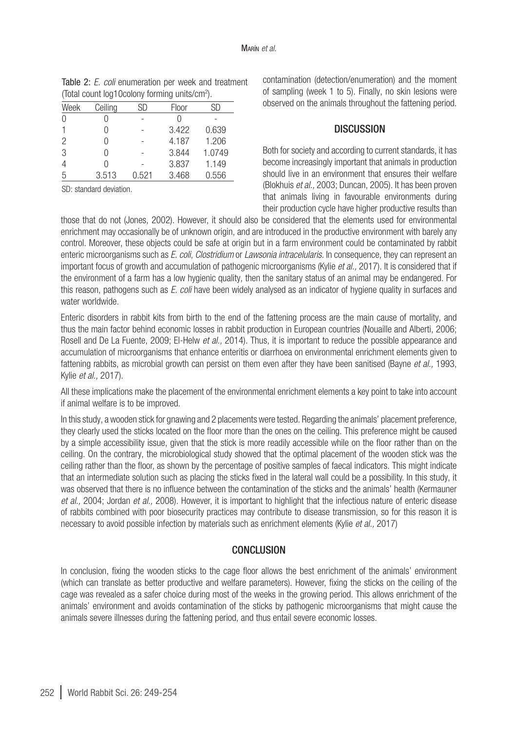| Week | Ceiling | SD    | Floor | SD     |
|------|---------|-------|-------|--------|
|      |         |       |       |        |
|      |         |       | 3.422 | 0.639  |
| 2    | Λ       |       | 4.187 | 1.206  |
| 3    | Λ       |       | 3.844 | 1.0749 |
| 4    |         |       | 3.837 | 1.149  |
| 5    | 3.513   | 0.521 | 3.468 | 0.556  |

Table 2: *E. coli* enumeration per week and treatment (Total count log10colony forming units/cm2 ).

SD: standard deviation.

contamination (detection/enumeration) and the moment of sampling (week 1 to 5). Finally, no skin lesions were observed on the animals throughout the fattening period.

## **DISCUSSION**

Both for society and according to current standards, it has become increasingly important that animals in production should live in an environment that ensures their welfare (Blokhuis *et al.,* 2003; Duncan, 2005). It has been proven that animals living in favourable environments during their production cycle have higher productive results than

those that do not (Jones, 2002). However, it should also be considered that the elements used for environmental enrichment may occasionally be of unknown origin, and are introduced in the productive environment with barely any control. Moreover, these objects could be safe at origin but in a farm environment could be contaminated by rabbit enteric microorganisms such as *E. coli*, *Clostridium* or *Lawsonia intracelularis.* In consequence, they can represent an important focus of growth and accumulation of pathogenic microorganisms (Kylie *et al.,* 2017). It is considered that if the environment of a farm has a low hygienic quality, then the sanitary status of an animal may be endangered. For this reason, pathogens such as *E. coli* have been widely analysed as an indicator of hygiene quality in surfaces and water worldwide.

Enteric disorders in rabbit kits from birth to the end of the fattening process are the main cause of mortality, and thus the main factor behind economic losses in rabbit production in European countries (Nouaille and Alberti, 2006; Rosell and De La Fuente, 2009; El-Helw *et al.,* 2014). Thus, it is important to reduce the possible appearance and accumulation of microorganisms that enhance enteritis or diarrhoea on environmental enrichment elements given to fattening rabbits, as microbial growth can persist on them even after they have been sanitised (Bayne *et al.,* 1993, Kylie *et al.,* 2017).

All these implications make the placement of the environmental enrichment elements a key point to take into account if animal welfare is to be improved.

In this study, a wooden stick for gnawing and 2 placements were tested. Regarding the animals' placement preference, they clearly used the sticks located on the floor more than the ones on the ceiling. This preference might be caused by a simple accessibility issue, given that the stick is more readily accessible while on the floor rather than on the ceiling. On the contrary, the microbiological study showed that the optimal placement of the wooden stick was the ceiling rather than the floor, as shown by the percentage of positive samples of faecal indicators. This might indicate that an intermediate solution such as placing the sticks fixed in the lateral wall could be a possibility. In this study, it was observed that there is no influence between the contamination of the sticks and the animals' health (Kermauner *et al.,* 2004; Jordan *et al.,* 2008). However, it is important to highlight that the infectious nature of enteric disease of rabbits combined with poor biosecurity practices may contribute to disease transmission, so for this reason it is necessary to avoid possible infection by materials such as enrichment elements (Kylie *et al.,* 2017)

## **CONCLUSION**

In conclusion, fixing the wooden sticks to the cage floor allows the best enrichment of the animals' environment (which can translate as better productive and welfare parameters). However, fixing the sticks on the ceiling of the cage was revealed as a safer choice during most of the weeks in the growing period. This allows enrichment of the animals' environment and avoids contamination of the sticks by pathogenic microorganisms that might cause the animals severe illnesses during the fattening period, and thus entail severe economic losses.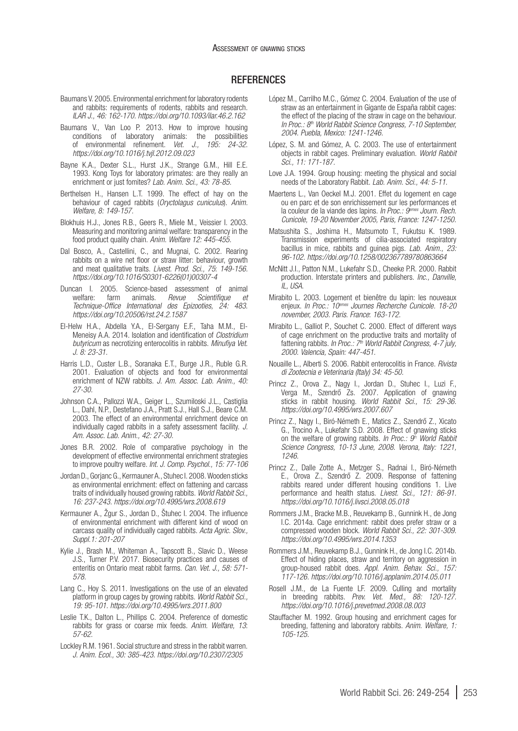#### **REFERENCES**

- Baumans V. 2005. Environmental enrichment for laboratory rodents and rabbits: requirements of rodents, rabbits and research. *ILAR J., 46: 162-170.<https://doi.org/10.1093/ilar.46.2.162>*
- Baumans V., Van Loo P. 2013. How to improve housing conditions of laboratory animals: the possibilities of environmental refinement. *Vet. J., 195: 24-32*. *<https://doi.org/10.1016/j.tvjl.2012.09.023>*
- Bayne K.A., Dexter S.L., Hurst J.K., Strange G.M., Hill E.E. 1993. Kong Toys for laboratory primates: are they really an enrichment or just fomites? *Lab. Anim. Sci., 43: 78-85.*
- Berthelsen H., Hansen L.T. 1999. The effect of hay on the behaviour of caged rabbits (*Oryctolagus cuniculus*). *Anim. Welfare, 8: 149-157.*
- Blokhuis H.J., Jones R.B., Geers R., Miele M., Veissier I. 2003. Measuring and monitoring animal welfare: transparency in the food product quality chain. *Anim. Welfare 12: 445-455.*
- Dal Bosco, A., Castellini, C., and Mugnai, C. 2002. Rearing rabbits on a wire net floor or straw litter: behaviour, growth and meat qualitative traits. *Livest. Prod. Sci., 75*: *149-156. [https://doi.org/10.1016/S0301-6226\(01\)00307-4](https://doi.org/10.1016/S0301-6226(01)00307-4)*
- Duncan I. 2005. Science-based assessment of animal<br>welfare: farm animals. *Revue Scientifique et* welfare: farm animals. *Revue Scientifique et Technique-Office International des Epizooties, 24: 483. <https://doi.org/10.20506/rst.24.2.1587>*
- El-Helw H.A., Abdella Y.A., El-Sergany E.F., Taha M.M., El-Meneisy A.A. 2014. Isolation and identification of *Clostridium butyricum* as necrotizing enterocolitis in rabbits. *Minufiya Vet. J. 8: 23-31.*
- Harris L.D., Custer L.B., Soranaka E.T., Burge J.R., Ruble G.R. 2001. Evaluation of objects and food for environmental enrichment of NZW rabbits. *J. Am. Assoc. Lab. Anim., 40: 27-30.*
- Johnson C.A., Pallozzi W.A., Geiger L., Szumiloski J.L., Castiglia L., Dahl, N.P., Destefano J.A., Pratt S.J., Hall S.J., Beare C.M. 2003. The effect of an environmental enrichment device on individually caged rabbits in a safety assessment facility. *J. Am. Assoc. Lab. Anim., 42: 27-30.*
- Jones B.R. 2002. Role of comparative psychology in the development of effective environmental enrichment strategies to improve poultry welfare. *Int. J. Comp. Psychol., 15: 77-106*
- Jordan D., Gorjanc G., Kermauner A., Stuhec I. 2008. Wooden sticks as environmental enrichment: effect on fattening and carcass traits of individually housed growing rabbits. *World Rabbit Sci., 16: 237-243.<https://doi.org/10.4995/wrs.2008.619>*
- Kermauner A., Žgur S., Jordan D., Štuhec I. 2004. The influence of environmental enrichment with different kind of wood on carcass quality of individually caged rabbits. *Acta Agric. Slov., Suppl.1: 201-207*
- Kylie J., Brash M., Whiteman A., Tapscott B., Slavic D., Weese J.S., Turner P.V. 2017. Biosecurity practices and causes of enteritis on Ontario meat rabbit farms. *Can. Vet. J., 58: 571- 578.*
- Lang C., Hoy S. 2011. Investigations on the use of an elevated platform in group cages by growing rabbits. *World Rabbit Sci., 19: 95-101. <https://doi.org/10.4995/wrs.2011.800>*
- Leslie T.K., Dalton L., Phillips C. 2004. Preference of domestic rabbits for grass or coarse mix feeds. *Anim. Welfare, 13*: *57-62.*
- Lockley R.M. 1961. Social structure and stress in the rabbit warren. *J. Anim. Ecol., 30: 385-423.<https://doi.org/10.2307/2305>*
- López M., Carrilho M.C., Gómez C. 2004. Evaluation of the use of straw as an entertainment in Gigante de España rabbit cages: the effect of the placing of the straw in cage on the behaviour. *In Proc.: 8th World Rabbit Science Congress, 7-10 September, 2004. Puebla, Mexico: 1241-1246.*
- López, S. M. and Gómez, A. C. 2003. The use of entertainment objects in rabbit cages. Preliminary evaluation. *World Rabbit Sci., 11: 171-187.*
- Love J.A. 1994. Group housing: meeting the physical and social needs of the Laboratory Rabbit*. Lab. Anim. Sci., 44: 5-11.*
- Maertens L., Van Oeckel M.J. 2001. Effet du logement en cage ou en parc et de son enrichissement sur les performances et la couleur de la viande des lapins. *In Proc.: 9<sup>emes</sup> Journ. Rech. Cunicole, 19-20 November 2005, Paris, France: 1247-1250.*
- Matsushita S., Joshima H., Matsumoto T., Fukutsu K. 1989. Transmission experiments of cilia-associated respiratory bacillus in mice, rabbits and guinea pigs. *Lab. Anim., 23: 96-102. <https://doi.org/10.1258/002367789780863664>*
- McNitt J.I., Patton N.M., Lukefahr S.D., Cheeke P.R. 2000. Rabbit production. Interstate printers and publishers. *Inc., Danville, IL, USA*.
- Mirabito L. 2003. Logement et bienêtre du lapin: les nouveaux enjeux. *In Proc.: 10emes Journes Recherche Cunicole. 18-20 november, 2003. Paris. France*: *163-172.*
- Mirabito L., Galliot P., Souchet C. 2000. Effect of different ways of cage enrichment on the productive traits and mortality of fattening rabbits. *In Proc.:* 7<sup>th</sup> World Rabbit Congress, 4-7 july, *2000. Valencia, Spain: 447-451.*
- Nouaille L., Alberti S. 2006. Rabbit enterocolitis in France. *Rivista di Zootecnia e Veterinaria (Italy) 34: 45-50.*
- Princz Z., Orova Z., Nagy I., Jordan D., Stuhec I., Luzi F., Verga M., Szendrő Zs. 2007. Application of gnawing sticks in rabbit housing. *World Rabbit Sci., 15: 29-36. <https://doi.org/10.4995/wrs.2007.607>*
- Princz Z., Nagy I., Biró-Németh E., Matics Z., Szendrő Z., Xicato G., Trocino A., Lukefahr S.D. 2008. Effect of gnawing sticks on the welfare of growing rabbits. *In Proc.: 9th World Rabbit Science Congress, 10-13 June, 2008. Verona, Italy: 1221, 1246.*
- Princz Z., Dalle Zotte A., Metzger S., Radnai I., Biró-Németh E., Orova Z., Szendrő Z. 2009. Response of fattening rabbits reared under different housing conditions 1. Live performance and health status. *Livest. Sci., 121: 86-91. <https://doi.org/10.1016/j.livsci.2008.05.018>*
- Rommers J.M., Bracke M.B., Reuvekamp B., Gunnink H., de Jong I.C. 2014a. Cage enrichment: rabbit does prefer straw or a compressed wooden block. *World Rabbit Sci., 22: 301-309. <https://doi.org/10.4995/wrs.2014.1353>*
- Rommers J.M., Reuvekamp B.J., Gunnink H., de Jong I.C. 2014b. Effect of hiding places, straw and territory on aggression in group-housed rabbit does. *Appl. Anim. Behav. Sci., 157: 117-126.<https://doi.org/10.1016/j.applanim.2014.05.011>*
- Rosell J.M., de La Fuente LF. 2009. Culling and mortality in breeding rabbits. *Prev. Vet. Med., 88: 120-127. <https://doi.org/10.1016/j.prevetmed.2008.08.003>*
- Stauffacher M. 1992. Group housing and enrichment cages for breeding, fattening and laboratory rabbits. *Anim. Welfare, 1: 105-125.*